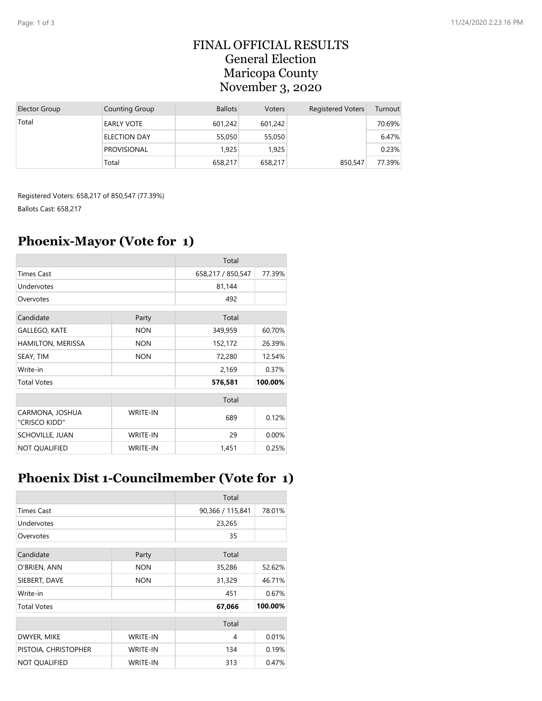#### FINAL OFFICIAL RESULTS General Election Maricopa County November 3, 2020

| Elector Group | Counting Group      | <b>Ballots</b> | <b>Voters</b> | <b>Registered Voters</b> | Turnout |
|---------------|---------------------|----------------|---------------|--------------------------|---------|
| Total         | <b>EARLY VOTE</b>   | 601.242        | 601,242       |                          | 70.69%  |
|               | <b>ELECTION DAY</b> | 55,050         | 55,050        |                          | 6.47%   |
|               | <b>PROVISIONAL</b>  | 1.925          | 1.925         |                          | 0.23%   |
|               | Total               | 658,217        | 658,217       | 850,547                  | 77.39%  |

Registered Voters: 658,217 of 850,547 (77.39%) Ballots Cast: 658,217

#### **Phoenix-Mayor (Vote for 1)**

|                                  |                 | Total             |         |
|----------------------------------|-----------------|-------------------|---------|
| <b>Times Cast</b>                |                 | 658,217 / 850,547 | 77.39%  |
| Undervotes                       |                 | 81,144            |         |
| Overvotes                        |                 | 492               |         |
| Candidate<br>Party               |                 | Total             |         |
| <b>GALLEGO, KATE</b>             | <b>NON</b>      | 349,959           | 60.70%  |
| HAMILTON, MERISSA                | <b>NON</b>      | 152,172           | 26.39%  |
| SEAY, TIM                        | <b>NON</b>      | 72,280            | 12.54%  |
| Write-in                         |                 | 2,169             | 0.37%   |
| <b>Total Votes</b>               |                 | 576,581           | 100.00% |
|                                  |                 | Total             |         |
| CARMONA, JOSHUA<br>"CRISCO KIDD" | <b>WRITE-IN</b> | 689               | 0.12%   |
| <b>SCHOVILLE, JUAN</b>           | <b>WRITE-IN</b> | 29                | 0.00%   |
| <b>NOT QUALIFIED</b>             | <b>WRITE-IN</b> | 1,451             | 0.25%   |

#### **Phoenix Dist 1-Councilmember (Vote for 1)**

|                      |                 | Total            |         |
|----------------------|-----------------|------------------|---------|
| <b>Times Cast</b>    |                 | 90,366 / 115,841 | 78.01%  |
| Undervotes           |                 | 23,265           |         |
| Overvotes            |                 | 35               |         |
| Candidate            | Party           | Total            |         |
| O'BRIEN, ANN         | <b>NON</b>      | 35,286           | 52.62%  |
| SIEBERT, DAVE        | <b>NON</b>      | 31,329           | 46.71%  |
| Write-in             |                 | 451              | 0.67%   |
| <b>Total Votes</b>   |                 | 67,066           | 100.00% |
|                      |                 | Total            |         |
| DWYER, MIKE          | <b>WRITE-IN</b> | 4                | 0.01%   |
| PISTOIA, CHRISTOPHER | <b>WRITE-IN</b> | 134              | 0.19%   |
| <b>NOT QUALIFIED</b> | WRITE-IN        | 313              | 0.47%   |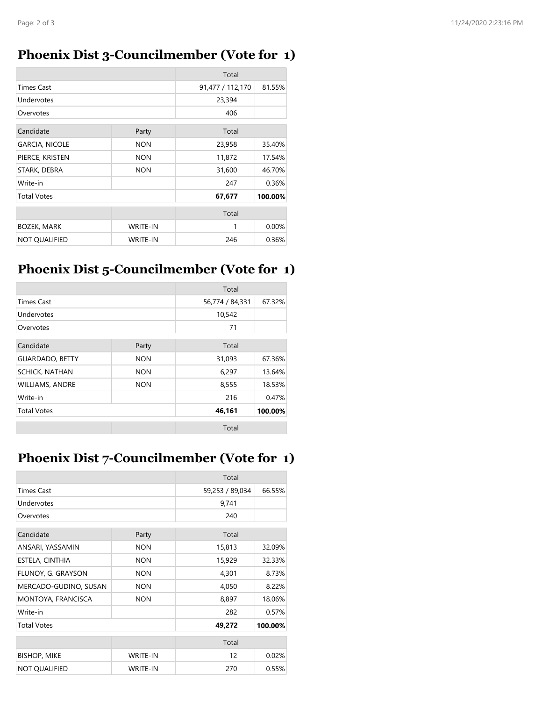# **Phoenix Dist 3-Councilmember (Vote for 1)**

|                       |                 | Total            |         |
|-----------------------|-----------------|------------------|---------|
| <b>Times Cast</b>     |                 | 91,477 / 112,170 | 81.55%  |
| Undervotes            |                 | 23,394           |         |
| Overvotes             |                 | 406              |         |
| Candidate             | Party           | Total            |         |
| <b>GARCIA, NICOLE</b> | <b>NON</b>      | 23,958           | 35.40%  |
| PIERCE, KRISTEN       | <b>NON</b>      | 11,872           | 17.54%  |
| STARK, DEBRA          | <b>NON</b>      | 31,600           | 46.70%  |
| Write-in              |                 | 247              | 0.36%   |
| <b>Total Votes</b>    |                 | 67,677           | 100.00% |
|                       |                 | Total            |         |
| <b>BOZEK, MARK</b>    | <b>WRITE-IN</b> | 1                | 0.00%   |
| <b>NOT OUALIFIED</b>  | <b>WRITE-IN</b> | 246              | 0.36%   |

# **Phoenix Dist 5-Councilmember (Vote for 1)**

|                        |            | Total           |         |
|------------------------|------------|-----------------|---------|
| <b>Times Cast</b>      |            | 56,774 / 84,331 | 67.32%  |
| Undervotes             |            | 10,542          |         |
| Overvotes              |            | 71              |         |
| Candidate              | Party      | Total           |         |
| <b>GUARDADO, BETTY</b> | <b>NON</b> | 31,093          | 67.36%  |
| <b>SCHICK, NATHAN</b>  | <b>NON</b> | 6,297           | 13.64%  |
| <b>WILLIAMS, ANDRE</b> | <b>NON</b> | 8,555           | 18.53%  |
| Write-in               |            | 216             | 0.47%   |
| <b>Total Votes</b>     |            | 46,161          | 100.00% |
|                        |            | Total           |         |

# **Phoenix Dist 7-Councilmember (Vote for 1)**

|                       |                 | Total           |         |
|-----------------------|-----------------|-----------------|---------|
| <b>Times Cast</b>     |                 | 59,253 / 89,034 | 66.55%  |
| Undervotes            |                 | 9,741           |         |
| Overvotes             |                 | 240             |         |
| Candidate<br>Party    |                 | Total           |         |
| ANSARI, YASSAMIN      | <b>NON</b>      | 15,813          | 32.09%  |
| ESTELA, CINTHIA       | <b>NON</b>      | 15,929          | 32.33%  |
| FLUNOY, G. GRAYSON    | <b>NON</b>      | 4,301           | 8.73%   |
| MERCADO-GUDINO, SUSAN | <b>NON</b>      | 4,050           | 8.22%   |
| MONTOYA, FRANCISCA    | <b>NON</b>      | 8,897           | 18.06%  |
| Write-in              |                 | 282             | 0.57%   |
| <b>Total Votes</b>    |                 | 49,272          | 100.00% |
|                       |                 | Total           |         |
| <b>BISHOP, MIKE</b>   | <b>WRITE-IN</b> | 12              | 0.02%   |
| <b>NOT QUALIFIED</b>  | <b>WRITE-IN</b> | 270             | 0.55%   |